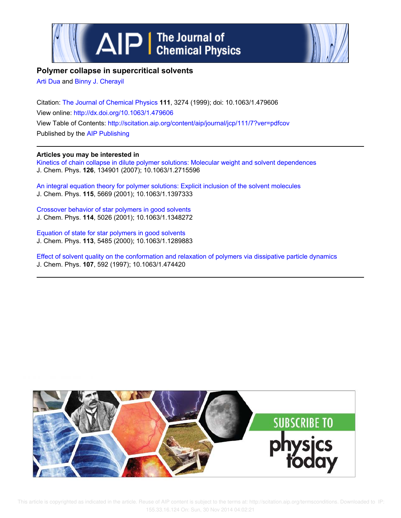



## **Polymer collapse in supercritical solvents**

Arti Dua and Binny J. Cherayil

Citation: The Journal of Chemical Physics **111**, 3274 (1999); doi: 10.1063/1.479606 View online: http://dx.doi.org/10.1063/1.479606 View Table of Contents: http://scitation.aip.org/content/aip/journal/jcp/111/7?ver=pdfcov Published by the AIP Publishing

### **Articles you may be interested in**

Kinetics of chain collapse in dilute polymer solutions: Molecular weight and solvent dependences J. Chem. Phys. **126**, 134901 (2007); 10.1063/1.2715596

An integral equation theory for polymer solutions: Explicit inclusion of the solvent molecules J. Chem. Phys. **115**, 5669 (2001); 10.1063/1.1397333

Crossover behavior of star polymers in good solvents J. Chem. Phys. **114**, 5026 (2001); 10.1063/1.1348272

Equation of state for star polymers in good solvents J. Chem. Phys. **113**, 5485 (2000); 10.1063/1.1289883

Effect of solvent quality on the conformation and relaxation of polymers via dissipative particle dynamics J. Chem. Phys. **107**, 592 (1997); 10.1063/1.474420

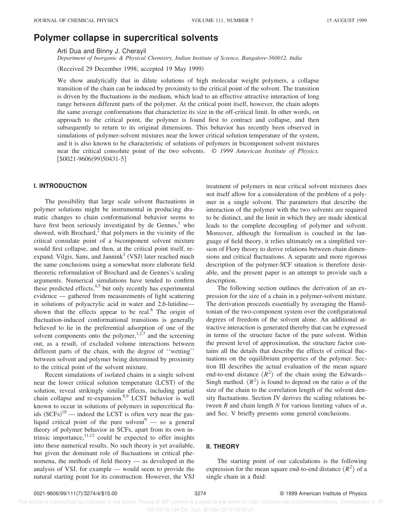# **Polymer collapse in supercritical solvents**

Arti Dua and Binny J. Cherayil

*Department of Inorganic & Physical Chemistry, Indian Institute of Science, Bangalore-560012, India*

(Received 29 December 1998; accepted 19 May 1999)

We show analytically that in dilute solutions of high molecular weight polymers, a collapse transition of the chain can be induced by proximity to the critical point of the solvent. The transition is driven by the fluctuations in the medium, which lead to an effective attractive interaction of long range between different parts of the polymer. At the critical point itself, however, the chain adopts the same average conformations that characterize its size in the off-critical limit. In other words, on approach to the critical point, the polymer is found first to contract and collapse, and then subsequently to return to its original dimensions. This behavior has recently been observed in simulations of polymer-solvent mixtures near the lower critical solution temperature of the system, and it is also known to be characteristic of solutions of polymers in bicomponent solvent mixtures near the critical consolute point of the two solvents. © *1999 American Institute of Physics.*  $[$ S0021-9606(99)50431-5]

#### **I. INTRODUCTION**

The possibility that large scale solvent fluctuations in polymer solutions might be instrumental in producing dramatic changes to chain conformational behavior seems to have first been seriously investigated by de Gennes, $<sup>1</sup>$  who</sup> showed, with Brochard, $2$  that polymers in the vicinity of the critical consulate point of a bicomponent solvent mixture would first collapse, and then, at the critical point itself, reexpand. Vilgis, Sans, and Jannink<sup>3</sup> (VSJ) later reached much the same conclusions using a somewhat more elaborate field theoretic reformulation of Brochard and de Gennes's scaling arguments. Numerical simulations have tended to confirm these predicted effects, $4,5$  but only recently has experimental evidence — gathered from measurements of light scattering in solutions of polyacrylic acid in water and 2,6-lutidine shown that the effects appear to be real.<sup>6</sup> The origin of fluctuation-induced conformational transitions is generally believed to lie in the preferential adsorption of one of the solvent components onto the polymer,  $1,2,7$  and the screening out, as a result, of excluded volume interactions between different parts of the chain, with the degree of ''wetting'' between solvent and polymer being determined by proximity to the critical point of the solvent mixture.

Recent simulations of isolated chains in a single solvent near the lower critical solution temperature (LCST) of the solution, reveal strikingly similar effects, including partial chain collapse and re-expansion.<sup>8,9</sup> LCST behavior is well known to occur in solutions of polymers in supercritical fluids  $(SCFs)^{10}$  — indeed the LCST is often very near the gasliquid critical point of the pure solvent<sup>9</sup> — so a general theory of polymer behavior in SCFs, apart from its own intrinsic importance,  $11,12$  could be expected to offer insights into these numerical results. No such theory is yet available, but given the dominant role of fluctuations in critical phenomena, the methods of field theory — as developed in the analysis of VSJ, for example — would seem to provide the natural starting point for its construction. However, the VSJ treatment of polymers in near critical solvent mixtures does not itself allow for a consideration of the problem of a polymer in a single solvent. The parameters that describe the interaction of the polymer with the two solvents are required to be distinct, and the limit in which they are made identical leads to the complete decoupling of polymer and solvent. Moreover, although the formalism is couched in the language of field theory, it relies ultimately on a simplified version of Flory theory to derive relations between chain dimensions and critical fluctuations. A separate and more rigorous description of the polymer-SCF situation is therefore desirable, and the present paper is an attempt to provide such a description.

The following section outlines the derivation of an expression for the size of a chain in a polymer-solvent mixture. The derivation proceeds essentially by averaging the Hamiltonian of the two-component system over the configurational degrees of freedom of the solvent alone. An additional attractive interaction is generated thereby that can be expressed in terms of the structure factor of the pure solvent. Within the present level of approximation, the structure factor contains all the details that describe the effects of critical fluctuations on the equilibrium properties of the polymer. Section III describes the actual evaluation of the mean square end-to-end distance  $\langle R^2 \rangle$  of the chain using the Edwards– Singh method.  $\langle R^2 \rangle$  is found to depend on the ratio  $\alpha$  of the size of the chain to the correlation length of the solvent density fluctuations. Section IV derives the scaling relations between *R* and chain length *N* for various limiting values of  $\alpha$ , and Sec. V briefly presents some general conclusions.

#### **II. THEORY**

The starting point of our calculations is the following expression for the mean square end-to-end distance  $\langle R^2 \rangle$  of a single chain in a fluid:

 This article is copyrighted as indicated in the article. Reuse of AIP content is subject to the terms at: http://scitation.aip.org/termsconditions. Downloaded to IP: 155.33.16.124 On: Sun, 30 Nov 2014 04:02:21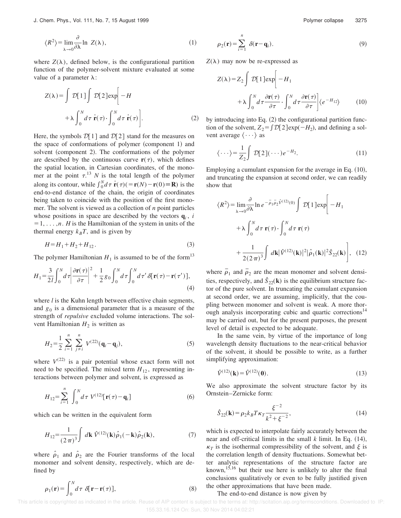$$
\langle R^2 \rangle = \lim_{\lambda \to 0} \frac{\partial}{\partial \lambda} \ln Z(\lambda), \tag{1}
$$

where  $Z(\lambda)$ , defined below, is the configurational partition function of the polymer-solvent mixture evaluated at some value of a parameter  $\lambda$ :

$$
Z(\lambda) = \int \mathcal{D}[1] \int \mathcal{D}[2] exp \left[ -H + \lambda \int_0^N d\tau \dot{\mathbf{r}}(\tau) \cdot \int_0^N d\tau \dot{\mathbf{r}}(\tau) \right].
$$
 (2)

Here, the symbols  $\mathcal{D}[1]$  and  $\mathcal{D}[2]$  stand for the measures on the space of conformations of polymer (component 1) and solvent (component 2). The conformations of the polymer are described by the continuous curve  $\mathbf{r}(\tau)$ , which defines the spatial location, in Cartesian coordinates, of the monomer at the point  $\tau$ .<sup>13</sup> *N* is the total length of the polymer along its contour, while  $\int_0^N d\tau \, \dot{\mathbf{r}}(\tau)$ (= $\mathbf{r}(N) - \mathbf{r}(0)$ ) is the end-to-end distance of the chain, the origin of coordinates being taken to coincide with the position of the first monomer. The solvent is viewed as a collection of *n* point particles whose positions in space are described by the vectors  $\mathbf{q}_i$ , *i*  $=1, \ldots, n$ . *H* is the Hamiltonian of the system in units of the thermal energy  $k_B T$ , and is given by

$$
H = H_1 + H_2 + H_{12}.
$$
\n(3)

The polymer Hamiltonian  $H_1$  is assumed to be of the form<sup>13</sup>

$$
H_1 = \frac{3}{2l} \int_0^N d\tau \left| \frac{\partial \mathbf{r}(\tau)}{\partial \tau} \right|^2 + \frac{1}{2} g_0 \int_0^N d\tau \int_0^N d\tau' \, \delta[\mathbf{r}(\tau) - \mathbf{r}(\tau')] \,,\tag{4}
$$

where *l* is the Kuhn length between effective chain segments, and  $g_0$  is a dimensional parameter that is a measure of the strength of *repulsive* excluded volume interactions. The solvent Hamiltonian  $H_2$  is written as

$$
H_2 = \frac{1}{2} \sum_{i=1}^n \sum_{j \neq i}^n V^{(22)}(\mathbf{q}_i - \mathbf{q}_j),
$$
 (5)

where  $V^{(22)}$  is a pair potential whose exact form will not need to be specified. The mixed term  $H_{12}$ , representing interactions between polymer and solvent, is expressed as

$$
H_{12} = \sum_{i=1}^{n} \int_{0}^{N} d\tau \ V^{(12)}[\mathbf{r}(\tau) - \mathbf{q}_{i}] \tag{6}
$$

which can be written in the equivalent form

$$
H_{12} = \frac{1}{(2\pi)^3} \int d\mathbf{k} \,\hat{V}^{(12)}(\mathbf{k}) \hat{\rho}_1(-\mathbf{k}) \hat{\rho}_2(\mathbf{k}),\tag{7}
$$

where  $\hat{\rho}_1$  and  $\hat{\rho}_2$  are the Fourier transforms of the local monomer and solvent density, respectively, which are defined by

$$
\rho_1(\mathbf{r}) = \int_0^N d\tau \; \delta[\mathbf{r} - \mathbf{r}(\tau)],\tag{8}
$$

$$
\rho_2(\mathbf{r}) = \sum_{i=1}^n \delta(\mathbf{r} - \mathbf{q}_i). \tag{9}
$$

 $Z(\lambda)$  may now be re-expressed as

$$
Z(\lambda) = Z_2 \int \mathcal{D}[1] \exp\left[-H_1 + \lambda \int_0^N d\tau \frac{\partial \mathbf{r}(\tau)}{\partial \tau} \cdot \int_0^N d\tau \frac{\partial \mathbf{r}(\tau)}{\partial \tau}\right] \langle e^{-H_{12}} \rangle \tag{10}
$$

by introducing into Eq.  $(2)$  the configurational partition function of the solvent,  $Z_2 = \int \mathcal{D}[2] \exp(-H_2)$ , and defining a solvent average  $\langle \cdots \rangle$  as

$$
\langle \cdots \rangle = \frac{1}{Z_2} \int \mathcal{D}[2] (\cdots) e^{-H_2}.
$$
 (11)

Employing a cumulant expansion for the average in Eq.  $(10)$ , and truncating the expansion at second order, we can readily show that

$$
\langle R^2 \rangle = \lim_{\lambda \to 0} \frac{\partial}{\partial \lambda} \ln e^{-\overline{\rho}_1 \overline{\rho}_2 \hat{V}^{(12)}(0)} \int \mathcal{D}[1] \exp \Bigg[ -H_1
$$
  
+  $\lambda \int_0^N d\tau \, \mathbf{r}(\tau) \cdot \int_0^N d\tau \, \mathbf{r}(\tau)$   
+  $\frac{1}{2(2\pi)^3} \int d\mathbf{k} |\hat{V}^{(12)}(\mathbf{k})|^2 |\hat{\rho}_1(\mathbf{k})|^2 \hat{S}_{22}(\mathbf{k}) \Bigg], \quad (12)$ 

where  $\rho_1$  and  $\rho_2$  are the mean monomer and solvent densities, respectively, and  $\hat{S}_{22}(\mathbf{k})$  is the equilibrium structure factor of the pure solvent. In truncating the cumulant expansion at second order, we are assuming, implicitly, that the coupling between monomer and solvent is weak. A more thorough analysis incorporating cubic and quartic corrections<sup>14</sup> may be carried out, but for the present purposes, the present level of detail is expected to be adequate.

In the same vein, by virtue of the importance of long wavelength density fluctuations to the near-critical behavior of the solvent, it should be possible to write, as a further simplifying approximation:

$$
\hat{V}^{(12)}(\mathbf{k}) = \hat{V}^{(12)}(\mathbf{0}).\tag{13}
$$

We also approximate the solvent structure factor by its Ornstein–Zernicke form:

$$
\hat{S}_{22}(\mathbf{k}) = \rho_2 k_B T \kappa_T \frac{\xi^{-2}}{k^2 + \xi^{-2}},
$$
\n(14)

which is expected to interpolate fairly accurately between the near and off-critical limits in the small  $k$  limit. In Eq.  $(14)$ ,  $\kappa_T$  is the isothermal compressibility of the solvent, and  $\xi$  is the correlation length of density fluctuations. Somewhat better analytic representations of the structure factor are known,<sup>15,16</sup> but their use here is unlikely to alter the final conclusions qualitatively or even to be fully justified given the other approximations that have been made.

#### The end-to-end distance is now given by

This article is copyrighted as indicated in the article. Reuse of AIP content is subject to the terms at: http://scitation.aip.org/termsconditions. Downloaded to IP: 155.33.16.124 On: Sun, 30 Nov 2014 04:02:21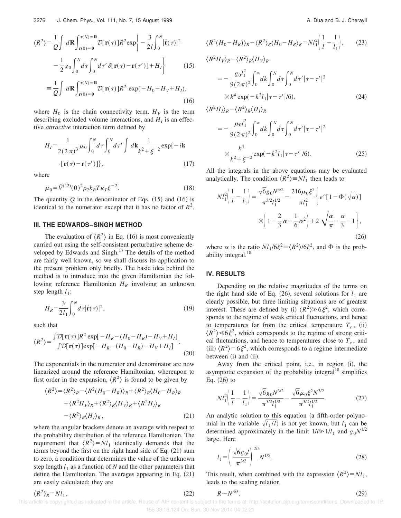$$
\langle R^2 \rangle = \frac{1}{Q} \int d\mathbf{R} \int_{\mathbf{r}(0) = \mathbf{0}}^{\mathbf{r}(N) = \mathbf{R}} \mathcal{D}[\mathbf{r}(\tau)] R^2 \exp\left\{-\frac{3}{2l} \int_0^N |\dot{\mathbf{r}}(\tau)|^2 - \frac{1}{2} g_0 \int_0^N d\tau \int_0^N d\tau' \delta[\mathbf{r}(\tau) - \mathbf{r}(\tau')] + H_I \right\}
$$
(15)

$$
\equiv \frac{1}{Q} \int d\mathbf{R} \int_{\mathbf{r}(0)=0}^{\mathbf{r}(N)=\mathbf{R}} \mathcal{D}[\mathbf{r}(\tau)] R^2 \exp(-H_0 - H_V + H_I),
$$
\n(16)

where  $H_0$  is the chain connectivity term,  $H_V$  is the term describing excluded volume interactions, and  $H_I$  is an effective *attractive* interaction term defined by

$$
H_{I} = \frac{1}{2(2\pi)^{3}}\mu_{0} \int_{0}^{N} d\tau \int_{0}^{N} d\tau' \int d\mathbf{k} \frac{1}{k^{2} + \xi^{-2}} \exp\{-i\mathbf{k} \cdot \mathbf{r}(\tau) - \mathbf{r}(\tau')\},
$$
\n(17)

where

$$
\mu_0 = \hat{V}^{(12)}(0)^2 \rho_2 k_B T \kappa_T \xi^{-2}.
$$
 (18)

The quantity  $Q$  in the denominator of Eqs.  $(15)$  and  $(16)$  is identical to the numerator except that it has no factor of  $R^2$ .

#### **III. THE EDWARDS–SINGH METHOD**

The evaluation of  $\langle R^2 \rangle$  in Eq. (16) is most conveniently carried out using the self-consistent perturbative scheme developed by Edwards and Singh.<sup>17</sup> The details of the method are fairly well known, so we shall discuss its application to the present problem only briefly. The basic idea behind the method is to introduce into the given Hamiltonian the following reference Hamiltonian *H<sup>R</sup>* involving an unknown step length  $l_1$ :

$$
H_R = \frac{3}{2l_1} \int_0^N d\tau |\dot{\mathbf{r}}(\tau)|^2,
$$
\n(19)

such that

$$
\langle R^2 \rangle = \frac{\int \mathcal{D}[\mathbf{r}(\tau)] R^2 \exp[-H_R - (H_0 - H_R) - H_V + H_I]}{\int \mathcal{D}[\mathbf{r}(\tau)] \exp[-H_R - (H_0 - H_R) - H_V + H_I]}.
$$
\n(20)

The exponentials in the numerator and denominator are now linearized around the reference Hamiltonian, whereupon to first order in the expansion,  $\langle R^2 \rangle$  is found to be given by

$$
\langle R^2 \rangle = \langle R^2 \rangle_R - \langle R^2 (H_0 - H_R) \rangle_R + \langle R^2 \rangle_R \langle H_0 - H_R \rangle_R
$$
  
 
$$
- \langle R^2 H_V \rangle_R + \langle R^2 \rangle_R \langle H_V \rangle_R + \langle R^2 H_I \rangle_R
$$
  
 
$$
- \langle R^2 \rangle_R \langle H_I \rangle_R, \tag{21}
$$

where the angular brackets denote an average with respect to the probability distribution of the reference Hamiltonian. The requirement that  $\langle R^2 \rangle = N l_1$  identically demands that the terms beyond the first on the right hand side of Eq.  $(21)$  sum to zero, a condition that determines the value of the unknown step length  $l_1$  as a function of  $N$  and the other parameters that define the Hamiltonian. The averages appearing in Eq.  $(21)$ are easily calculated; they are

1

 $\sqrt{1}$ 

$$
\langle R^2(H_0 - H_R) \rangle_R - \langle R^2 \rangle_R \langle H_0 - H_R \rangle_R = N l_1^2 \left( \frac{1}{l} - \frac{1}{l_1} \right), \qquad (23)
$$
  

$$
\langle R^2 H_V \rangle_R - \langle R^2 \rangle_R \langle H_V \rangle_R
$$
  

$$
= -\frac{g_0 l_1^2}{9(2\pi)^2} \int_0^\infty dk \int_0^N d\tau \int_0^N d\tau' |\tau - \tau'|^2
$$
  

$$
\times k^4 \exp(-k^2 l_1 |\tau - \tau'|/6), \qquad (24)
$$
  

$$
\langle R^2 H_V \rangle_R - \langle R^2 \rangle_R \langle H_V \rangle_R
$$

$$
R^{2}H_{I}\rangle_{R} - \langle R^{2}\rangle_{R}\langle H_{I}\rangle_{R}
$$
  
=  $-\frac{\mu_{0}l_{1}^{2}}{9(2\pi)^{2}}\int_{0}^{\infty}dk \int_{0}^{N}d\tau \int_{0}^{N}d\tau' |\tau - \tau'|^{2}$   
 $\times \frac{k^{4}}{k^{2} + \xi^{-2}} \exp(-k^{2}l_{1}|\tau - \tau'|/6).$  (25)

All the integrals in the above equations may be evaluated analytically. The condition  $\langle R^2 \rangle \equiv N l_1$  then leads to

$$
Nl_1^2 \left( \frac{1}{l} - \frac{1}{l_1} \right) = \frac{\sqrt{6}g_0 N^{3/2}}{\pi^{3/2} l_1^{1/2}} - \frac{216\mu_0 \xi^5}{\pi l_1^2} \left\{ e^{\alpha} [1 - \Phi(\sqrt{\alpha})] \right\}
$$

$$
\times \left( 1 - \frac{2}{3} \alpha + \frac{1}{6} \alpha^2 \right) + 2 \sqrt{\frac{\alpha}{\pi}} - \frac{\alpha}{3} - 1 \right\},
$$
(26)

where  $\alpha$  is the ratio  $Nl_1/6\xi^2 \equiv \langle R^2 \rangle/6\xi^2$ , and  $\Phi$  is the probability integral.<sup>18</sup>

#### **IV. RESULTS**

Depending on the relative magnitudes of the terms on the right hand side of Eq.  $(26)$ , several solutions for  $l_1$  are clearly possible, but three limiting situations are of greatest interest. These are defined by (i)  $\langle R^2 \rangle \ge 6 \xi^2$ , which corresponds to the regime of weak critical fluctuations, and hence to temperatures far from the critical temperature  $T_c$ , (ii)  $\langle R^2 \rangle \ll 6 \xi^2$ , which corresponds to the regime of strong critical fluctuations, and hence to temperatures close to  $T_c$ , and (iii)  $\langle R^2 \rangle = 6 \xi^2$ , which corresponds to a regime intermediate between (i) and (ii).

Away from the critical point, i.e., in region  $(i)$ , the asymptotic expansion of the probability integral<sup>18</sup> simplifies Eq.  $(26)$  to

$$
Nl_1^2\left(\frac{1}{l} - \frac{1}{l_1}\right) = \frac{\sqrt{6}g_0 N^{3/2}}{\pi^{3/2}l_1^{1/2}} - \frac{\sqrt{6}\mu_0 \xi^2 N^{3/2}}{\pi^{3/2}l_1^{1/2}}.
$$
 (27)

An analytic solution to this equation (a fifth-order polynomial in the variable  $\sqrt{l_1/l}$  is not yet known, but  $l_1$  can be determined approximately in the limit  $1/l \ge 1/l_1$  and  $g_0 N^{1/2}$ large. Here

$$
l_1 = \left(\frac{\sqrt{6}g_0 l}{\pi^{3/2}}\right)^{2/5} N^{1/5}.\tag{28}
$$

This result, when combined with the expression  $\langle R^2 \rangle = N l_1$ , leads to the scaling relation

$$
\langle R^2 \rangle_R = NI_1,
$$
\n(29)  
This article is copyrighted as indicated in the article. Reuse of AIP content is subject to the terms at: <http://scitation.aip.org/termsconditions>. Downloaded to IP:  
\n155.33.16.124 On: Sun, 30 Nov 2014 04:02:21